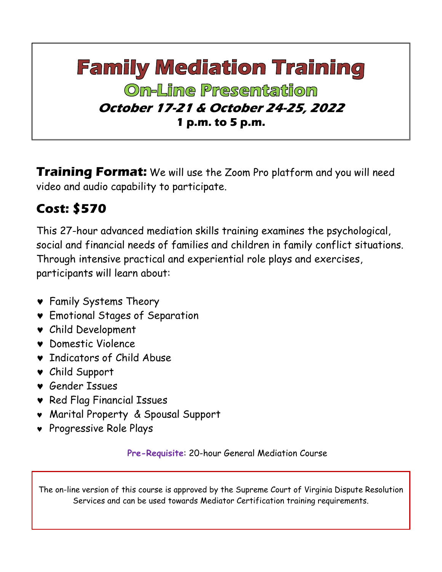## **Family Mediation Training On-Line Presentation October 17-21 & October 24-25, 2022 1 p.m. to 5 p.m.**

**Training Format:** We will use the Zoom Pro platform and you will need video and audio capability to participate.

## **Cost: \$570**

This 27-hour advanced mediation skills training examines the psychological, social and financial needs of families and children in family conflict situations. Through intensive practical and experiential role plays and exercises, participants will learn about:

- Family Systems Theory
- Emotional Stages of Separation
- Child Development
- Domestic Violence
- **v** Indicators of Child Abuse
- Child Support
- Gender Issues
- **v** Red Flag Financial Issues
- Marital Property & Spousal Support
- Progressive Role Plays

**Pre-Requisite**: 20-hour General Mediation Course

The on-line version of this course is approved by the Supreme Court of Virginia Dispute Resolution Services and can be used towards Mediator Certification training requirements.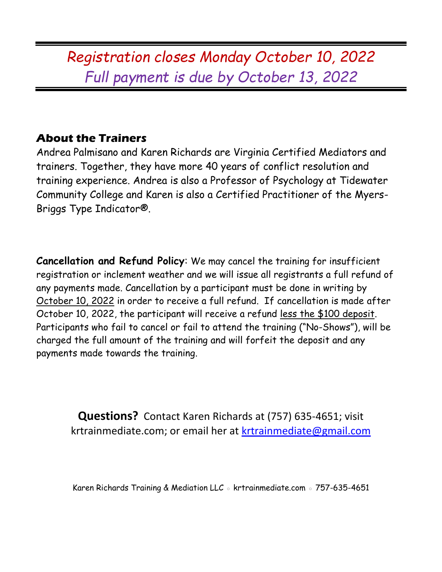*Registration closes Monday October 10, 2022 Full payment is due by October 13, 2022*

## **About the Trainers**

Andrea Palmisano and Karen Richards are Virginia Certified Mediators and trainers. Together, they have more 40 years of conflict resolution and training experience. Andrea is also a Professor of Psychology at Tidewater Community College and Karen is also a Certified Practitioner of the Myers-Briggs Type Indicator®.

**Cancellation and Refund Policy**: We may cancel the training for insufficient registration or inclement weather and we will issue all registrants a full refund of any payments made. Cancellation by a participant must be done in writing by October 10, 2022 in order to receive a full refund. If cancellation is made after October 10, 2022, the participant will receive a refund less the \$100 deposit. Participants who fail to cancel or fail to attend the training ("No-Shows"), will be charged the full amount of the training and will forfeit the deposit and any payments made towards the training.

**Questions?** Contact Karen Richards at (757) 635-4651; visit krtrainmediate.com; or email her at [krtrainmediate@gmail.com](mailto:krtrainmediate@gmail.com)

Karen Richards Training & Mediation LLC ◦ krtrainmediate.com ◦ 757-635-4651